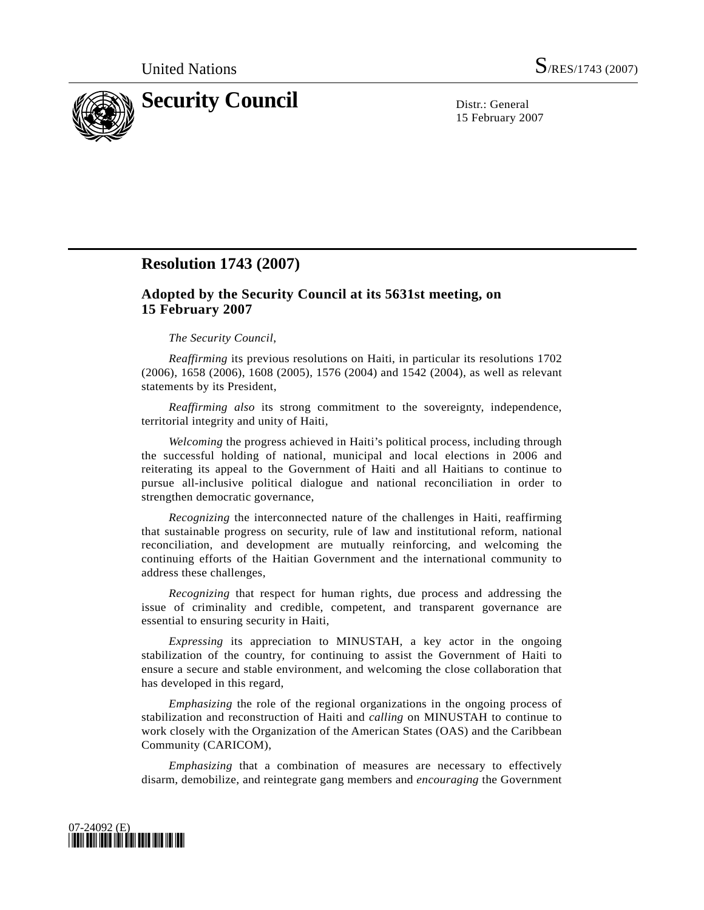

15 February 2007

## **Resolution 1743 (2007)**

## **Adopted by the Security Council at its 5631st meeting, on 15 February 2007**

## *The Security Council*,

*Reaffirming* its previous resolutions on Haiti, in particular its resolutions 1702 (2006), 1658 (2006), 1608 (2005), 1576 (2004) and 1542 (2004), as well as relevant statements by its President,

*Reaffirming also* its strong commitment to the sovereignty, independence, territorial integrity and unity of Haiti,

*Welcoming* the progress achieved in Haiti's political process, including through the successful holding of national, municipal and local elections in 2006 and reiterating its appeal to the Government of Haiti and all Haitians to continue to pursue all-inclusive political dialogue and national reconciliation in order to strengthen democratic governance,

*Recognizing* the interconnected nature of the challenges in Haiti, reaffirming that sustainable progress on security, rule of law and institutional reform, national reconciliation, and development are mutually reinforcing, and welcoming the continuing efforts of the Haitian Government and the international community to address these challenges,

*Recognizing* that respect for human rights, due process and addressing the issue of criminality and credible, competent, and transparent governance are essential to ensuring security in Haiti,

*Expressing* its appreciation to MINUSTAH, a key actor in the ongoing stabilization of the country, for continuing to assist the Government of Haiti to ensure a secure and stable environment, and welcoming the close collaboration that has developed in this regard,

*Emphasizing* the role of the regional organizations in the ongoing process of stabilization and reconstruction of Haiti and *calling* on MINUSTAH to continue to work closely with the Organization of the American States (OAS) and the Caribbean Community (CARICOM),

*Emphasizing* that a combination of measures are necessary to effectively disarm, demobilize, and reintegrate gang members and *encouraging* the Government

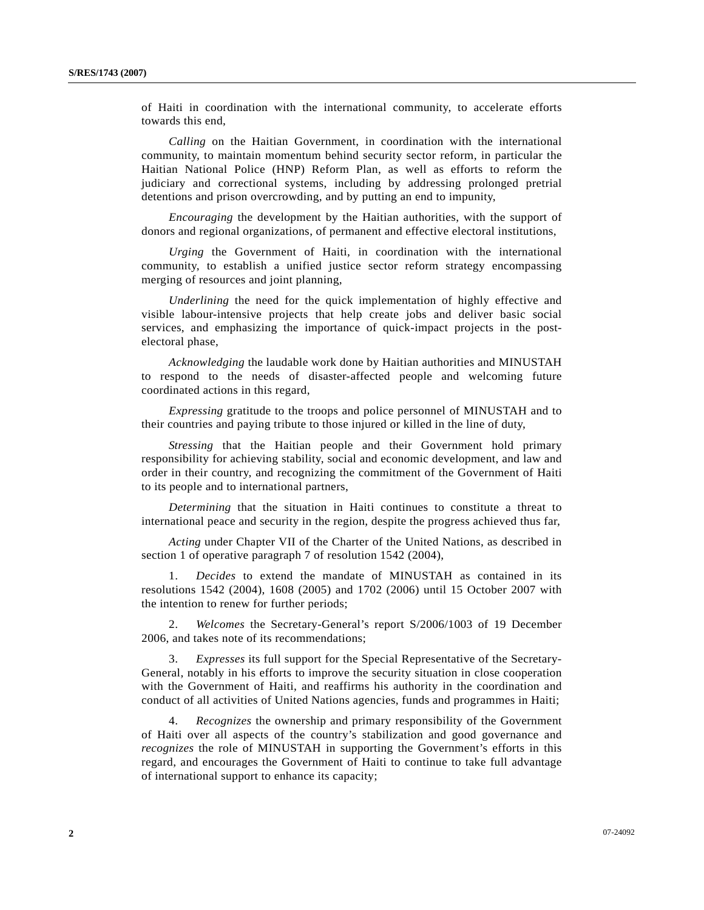of Haiti in coordination with the international community, to accelerate efforts towards this end,

*Calling* on the Haitian Government, in coordination with the international community, to maintain momentum behind security sector reform, in particular the Haitian National Police (HNP) Reform Plan, as well as efforts to reform the judiciary and correctional systems, including by addressing prolonged pretrial detentions and prison overcrowding, and by putting an end to impunity,

*Encouraging* the development by the Haitian authorities, with the support of donors and regional organizations, of permanent and effective electoral institutions,

*Urging* the Government of Haiti, in coordination with the international community, to establish a unified justice sector reform strategy encompassing merging of resources and joint planning,

*Underlining* the need for the quick implementation of highly effective and visible labour-intensive projects that help create jobs and deliver basic social services, and emphasizing the importance of quick-impact projects in the postelectoral phase,

*Acknowledging* the laudable work done by Haitian authorities and MINUSTAH to respond to the needs of disaster-affected people and welcoming future coordinated actions in this regard,

 *Expressing* gratitude to the troops and police personnel of MINUSTAH and to their countries and paying tribute to those injured or killed in the line of duty,

*Stressing* that the Haitian people and their Government hold primary responsibility for achieving stability, social and economic development, and law and order in their country, and recognizing the commitment of the Government of Haiti to its people and to international partners,

*Determining* that the situation in Haiti continues to constitute a threat to international peace and security in the region, despite the progress achieved thus far,

*Acting* under Chapter VII of the Charter of the United Nations, as described in section 1 of operative paragraph 7 of resolution 1542 (2004),

 1. *Decides* to extend the mandate of MINUSTAH as contained in its resolutions 1542 (2004), 1608 (2005) and 1702 (2006) until 15 October 2007 with the intention to renew for further periods;

 2. *Welcomes* the Secretary-General's report S/2006/1003 of 19 December 2006, and takes note of its recommendations;

 3. *Expresses* its full support for the Special Representative of the Secretary-General, notably in his efforts to improve the security situation in close cooperation with the Government of Haiti, and reaffirms his authority in the coordination and conduct of all activities of United Nations agencies, funds and programmes in Haiti;

 4. *Recognizes* the ownership and primary responsibility of the Government of Haiti over all aspects of the country's stabilization and good governance and *recognizes* the role of MINUSTAH in supporting the Government's efforts in this regard, and encourages the Government of Haiti to continue to take full advantage of international support to enhance its capacity;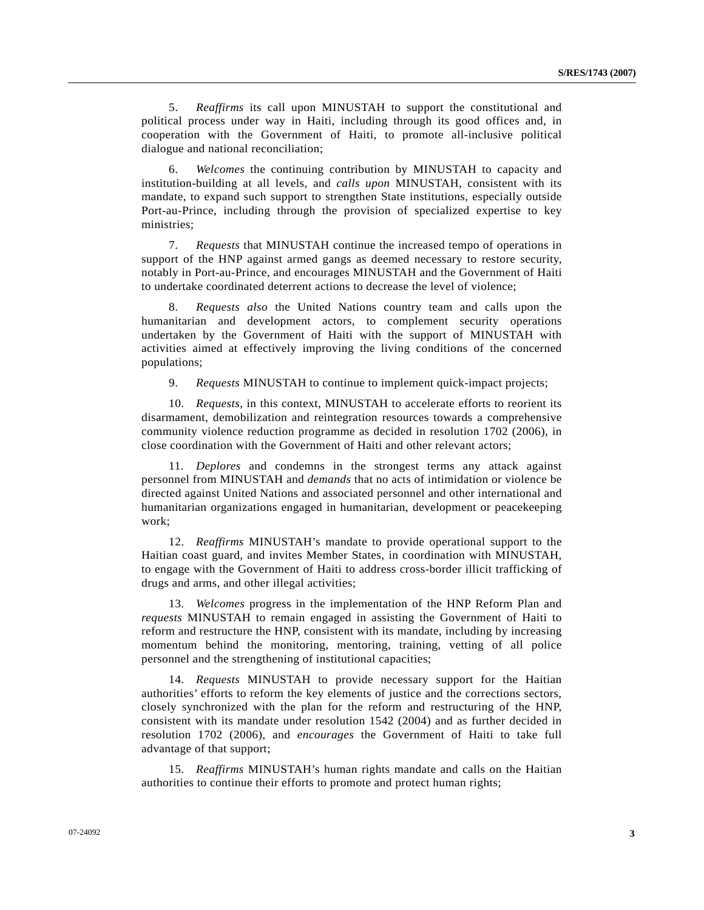5. *Reaffirms* its call upon MINUSTAH to support the constitutional and political process under way in Haiti, including through its good offices and, in cooperation with the Government of Haiti, to promote all-inclusive political dialogue and national reconciliation;

 6. *Welcomes* the continuing contribution by MINUSTAH to capacity and institution-building at all levels, and *calls upon* MINUSTAH, consistent with its mandate, to expand such support to strengthen State institutions, especially outside Port-au-Prince, including through the provision of specialized expertise to key ministries;

 7. *Requests* that MINUSTAH continue the increased tempo of operations in support of the HNP against armed gangs as deemed necessary to restore security, notably in Port-au-Prince, and encourages MINUSTAH and the Government of Haiti to undertake coordinated deterrent actions to decrease the level of violence;

 8. *Requests also* the United Nations country team and calls upon the humanitarian and development actors, to complement security operations undertaken by the Government of Haiti with the support of MINUSTAH with activities aimed at effectively improving the living conditions of the concerned populations;

9. *Requests* MINUSTAH to continue to implement quick-impact projects;

 10. *Requests*, in this context, MINUSTAH to accelerate efforts to reorient its disarmament, demobilization and reintegration resources towards a comprehensive community violence reduction programme as decided in resolution 1702 (2006), in close coordination with the Government of Haiti and other relevant actors;

 11. *Deplores* and condemns in the strongest terms any attack against personnel from MINUSTAH and *demands* that no acts of intimidation or violence be directed against United Nations and associated personnel and other international and humanitarian organizations engaged in humanitarian, development or peacekeeping work;

 12. *Reaffirms* MINUSTAH's mandate to provide operational support to the Haitian coast guard, and invites Member States, in coordination with MINUSTAH, to engage with the Government of Haiti to address cross-border illicit trafficking of drugs and arms, and other illegal activities;

 13. *Welcomes* progress in the implementation of the HNP Reform Plan and *requests* MINUSTAH to remain engaged in assisting the Government of Haiti to reform and restructure the HNP, consistent with its mandate, including by increasing momentum behind the monitoring, mentoring, training, vetting of all police personnel and the strengthening of institutional capacities;

 14. *Requests* MINUSTAH to provide necessary support for the Haitian authorities' efforts to reform the key elements of justice and the corrections sectors, closely synchronized with the plan for the reform and restructuring of the HNP, consistent with its mandate under resolution 1542 (2004) and as further decided in resolution 1702 (2006), and *encourages* the Government of Haiti to take full advantage of that support;

 15. *Reaffirms* MINUSTAH's human rights mandate and calls on the Haitian authorities to continue their efforts to promote and protect human rights;